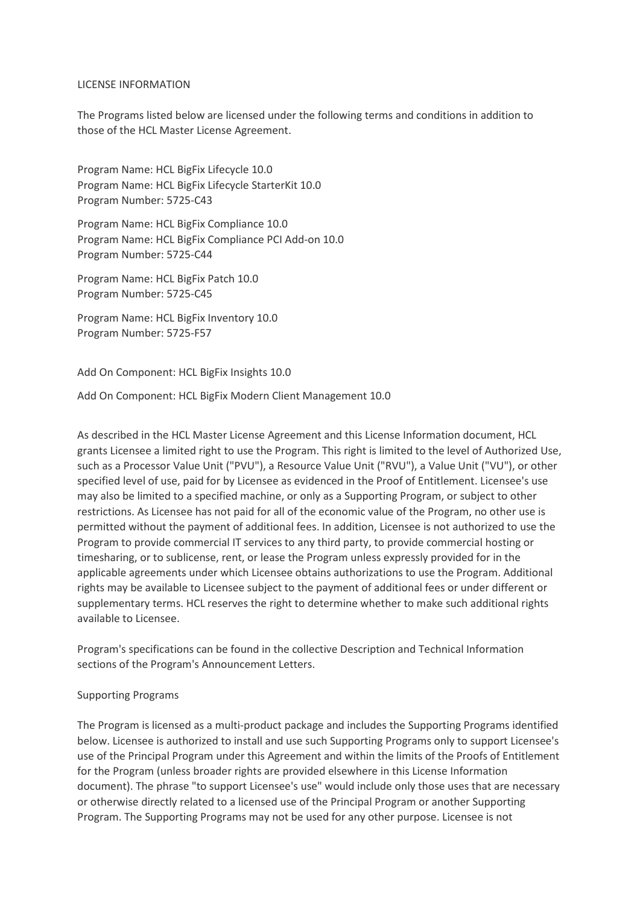#### LICENSE INFORMATION

The Programs listed below are licensed under the following terms and conditions in addition to those of the HCL Master License Agreement.

Program Name: HCL BigFix Lifecycle 10.0 Program Name: HCL BigFix Lifecycle StarterKit 10.0 Program Number: 5725-C43

Program Name: HCL BigFix Compliance 10.0 Program Name: HCL BigFix Compliance PCI Add-on 10.0 Program Number: 5725-C44

Program Name: HCL BigFix Patch 10.0 Program Number: 5725-C45

Program Name: HCL BigFix Inventory 10.0 Program Number: 5725-F57

Add On Component: HCL BigFix Insights 10.0

Add On Component: HCL BigFix Modern Client Management 10.0

As described in the HCL Master License Agreement and this License Information document, HCL grants Licensee a limited right to use the Program. This right is limited to the level of Authorized Use, such as a Processor Value Unit ("PVU"), a Resource Value Unit ("RVU"), a Value Unit ("VU"), or other specified level of use, paid for by Licensee as evidenced in the Proof of Entitlement. Licensee's use may also be limited to a specified machine, or only as a Supporting Program, or subject to other restrictions. As Licensee has not paid for all of the economic value of the Program, no other use is permitted without the payment of additional fees. In addition, Licensee is not authorized to use the Program to provide commercial IT services to any third party, to provide commercial hosting or timesharing, or to sublicense, rent, or lease the Program unless expressly provided for in the applicable agreements under which Licensee obtains authorizations to use the Program. Additional rights may be available to Licensee subject to the payment of additional fees or under different or supplementary terms. HCL reserves the right to determine whether to make such additional rights available to Licensee.

Program's specifications can be found in the collective Description and Technical Information sections of the Program's Announcement Letters.

### Supporting Programs

The Program is licensed as a multi-product package and includes the Supporting Programs identified below. Licensee is authorized to install and use such Supporting Programs only to support Licensee's use of the Principal Program under this Agreement and within the limits of the Proofs of Entitlement for the Program (unless broader rights are provided elsewhere in this License Information document). The phrase "to support Licensee's use" would include only those uses that are necessary or otherwise directly related to a licensed use of the Principal Program or another Supporting Program. The Supporting Programs may not be used for any other purpose. Licensee is not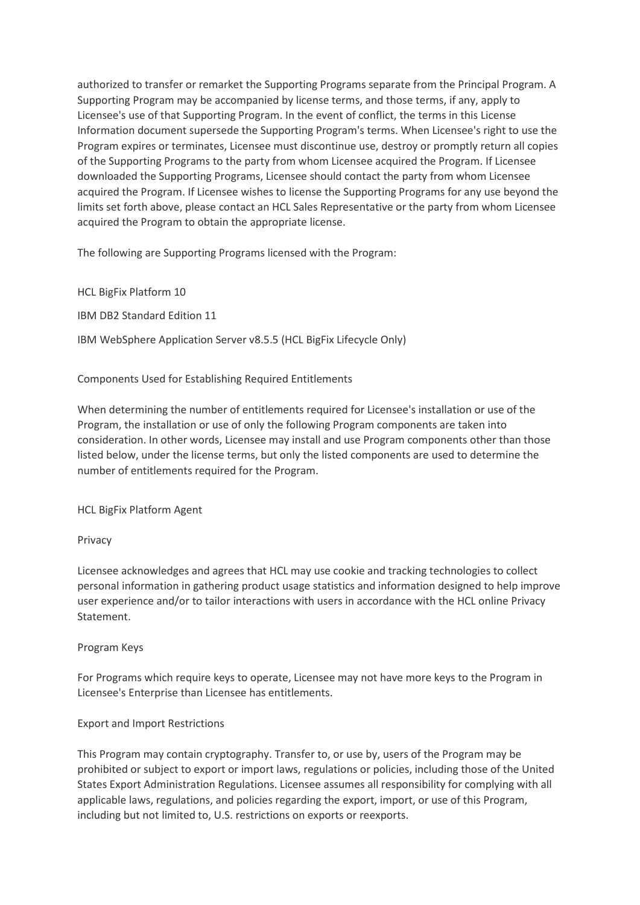authorized to transfer or remarket the Supporting Programs separate from the Principal Program. A Supporting Program may be accompanied by license terms, and those terms, if any, apply to Licensee's use of that Supporting Program. In the event of conflict, the terms in this License Information document supersede the Supporting Program's terms. When Licensee's right to use the Program expires or terminates, Licensee must discontinue use, destroy or promptly return all copies of the Supporting Programs to the party from whom Licensee acquired the Program. If Licensee downloaded the Supporting Programs, Licensee should contact the party from whom Licensee acquired the Program. If Licensee wishes to license the Supporting Programs for any use beyond the limits set forth above, please contact an HCL Sales Representative or the party from whom Licensee acquired the Program to obtain the appropriate license.

The following are Supporting Programs licensed with the Program:

HCL BigFix Platform 10

IBM DB2 Standard Edition 11

IBM WebSphere Application Server v8.5.5 (HCL BigFix Lifecycle Only)

Components Used for Establishing Required Entitlements

When determining the number of entitlements required for Licensee's installation or use of the Program, the installation or use of only the following Program components are taken into consideration. In other words, Licensee may install and use Program components other than those listed below, under the license terms, but only the listed components are used to determine the number of entitlements required for the Program.

HCL BigFix Platform Agent

### Privacy

Licensee acknowledges and agrees that HCL may use cookie and tracking technologies to collect personal information in gathering product usage statistics and information designed to help improve user experience and/or to tailor interactions with users in accordance with the HCL online Privacy Statement.

### Program Keys

For Programs which require keys to operate, Licensee may not have more keys to the Program in Licensee's Enterprise than Licensee has entitlements.

# Export and Import Restrictions

This Program may contain cryptography. Transfer to, or use by, users of the Program may be prohibited or subject to export or import laws, regulations or policies, including those of the United States Export Administration Regulations. Licensee assumes all responsibility for complying with all applicable laws, regulations, and policies regarding the export, import, or use of this Program, including but not limited to, U.S. restrictions on exports or reexports.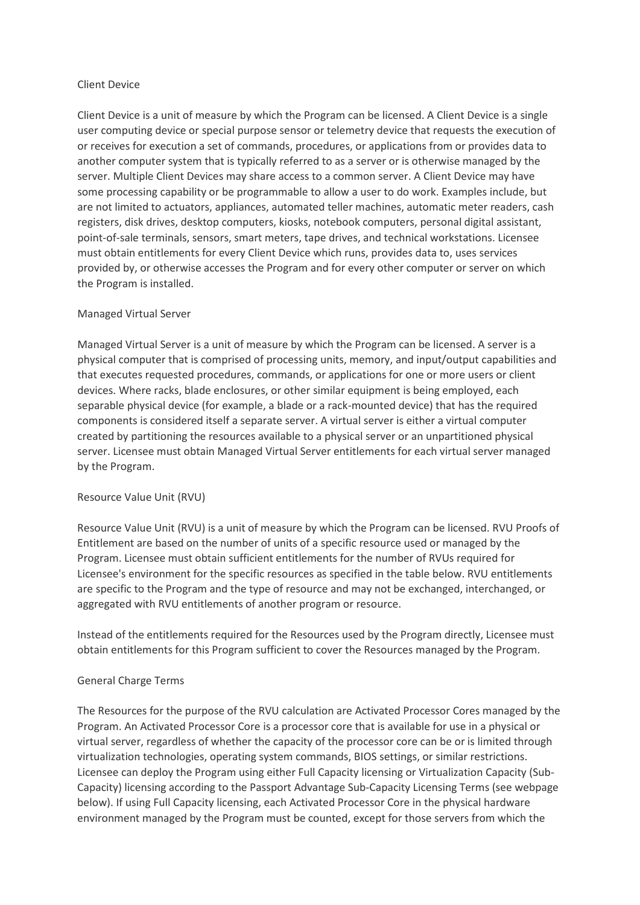### Client Device

Client Device is a unit of measure by which the Program can be licensed. A Client Device is a single user computing device or special purpose sensor or telemetry device that requests the execution of or receives for execution a set of commands, procedures, or applications from or provides data to another computer system that is typically referred to as a server or is otherwise managed by the server. Multiple Client Devices may share access to a common server. A Client Device may have some processing capability or be programmable to allow a user to do work. Examples include, but are not limited to actuators, appliances, automated teller machines, automatic meter readers, cash registers, disk drives, desktop computers, kiosks, notebook computers, personal digital assistant, point-of-sale terminals, sensors, smart meters, tape drives, and technical workstations. Licensee must obtain entitlements for every Client Device which runs, provides data to, uses services provided by, or otherwise accesses the Program and for every other computer or server on which the Program is installed.

# Managed Virtual Server

Managed Virtual Server is a unit of measure by which the Program can be licensed. A server is a physical computer that is comprised of processing units, memory, and input/output capabilities and that executes requested procedures, commands, or applications for one or more users or client devices. Where racks, blade enclosures, or other similar equipment is being employed, each separable physical device (for example, a blade or a rack-mounted device) that has the required components is considered itself a separate server. A virtual server is either a virtual computer created by partitioning the resources available to a physical server or an unpartitioned physical server. Licensee must obtain Managed Virtual Server entitlements for each virtual server managed by the Program.

### Resource Value Unit (RVU)

Resource Value Unit (RVU) is a unit of measure by which the Program can be licensed. RVU Proofs of Entitlement are based on the number of units of a specific resource used or managed by the Program. Licensee must obtain sufficient entitlements for the number of RVUs required for Licensee's environment for the specific resources as specified in the table below. RVU entitlements are specific to the Program and the type of resource and may not be exchanged, interchanged, or aggregated with RVU entitlements of another program or resource.

Instead of the entitlements required for the Resources used by the Program directly, Licensee must obtain entitlements for this Program sufficient to cover the Resources managed by the Program.

# General Charge Terms

The Resources for the purpose of the RVU calculation are Activated Processor Cores managed by the Program. An Activated Processor Core is a processor core that is available for use in a physical or virtual server, regardless of whether the capacity of the processor core can be or is limited through virtualization technologies, operating system commands, BIOS settings, or similar restrictions. Licensee can deploy the Program using either Full Capacity licensing or Virtualization Capacity (Sub-Capacity) licensing according to the Passport Advantage Sub-Capacity Licensing Terms (see webpage below). If using Full Capacity licensing, each Activated Processor Core in the physical hardware environment managed by the Program must be counted, except for those servers from which the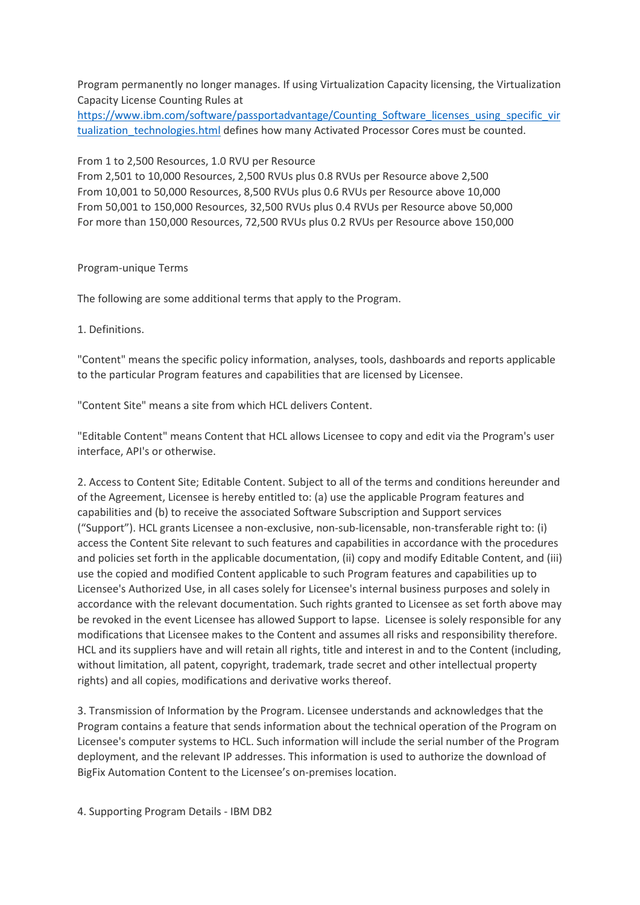Program permanently no longer manages. If using Virtualization Capacity licensing, the Virtualization Capacity License Counting Rules at

[https://www.ibm.com/software/passportadvantage/Counting\\_Software\\_licenses\\_using\\_specific\\_vir](https://www.ibm.com/software/passportadvantage/Counting_Software_licenses_using_specific_virtualization_technologies.html) tualization technologies.html defines how many Activated Processor Cores must be counted.

From 1 to 2,500 Resources, 1.0 RVU per Resource

From 2,501 to 10,000 Resources, 2,500 RVUs plus 0.8 RVUs per Resource above 2,500 From 10,001 to 50,000 Resources, 8,500 RVUs plus 0.6 RVUs per Resource above 10,000 From 50,001 to 150,000 Resources, 32,500 RVUs plus 0.4 RVUs per Resource above 50,000 For more than 150,000 Resources, 72,500 RVUs plus 0.2 RVUs per Resource above 150,000

### Program-unique Terms

The following are some additional terms that apply to the Program.

1. Definitions.

"Content" means the specific policy information, analyses, tools, dashboards and reports applicable to the particular Program features and capabilities that are licensed by Licensee.

"Content Site" means a site from which HCL delivers Content.

"Editable Content" means Content that HCL allows Licensee to copy and edit via the Program's user interface, API's or otherwise.

2. Access to Content Site; Editable Content. Subject to all of the terms and conditions hereunder and of the Agreement, Licensee is hereby entitled to: (a) use the applicable Program features and capabilities and (b) to receive the associated Software Subscription and Support services ("Support"). HCL grants Licensee a non-exclusive, non-sub-licensable, non-transferable right to: (i) access the Content Site relevant to such features and capabilities in accordance with the procedures and policies set forth in the applicable documentation, (ii) copy and modify Editable Content, and (iii) use the copied and modified Content applicable to such Program features and capabilities up to Licensee's Authorized Use, in all cases solely for Licensee's internal business purposes and solely in accordance with the relevant documentation. Such rights granted to Licensee as set forth above may be revoked in the event Licensee has allowed Support to lapse. Licensee is solely responsible for any modifications that Licensee makes to the Content and assumes all risks and responsibility therefore. HCL and its suppliers have and will retain all rights, title and interest in and to the Content (including, without limitation, all patent, copyright, trademark, trade secret and other intellectual property rights) and all copies, modifications and derivative works thereof.

3. Transmission of Information by the Program. Licensee understands and acknowledges that the Program contains a feature that sends information about the technical operation of the Program on Licensee's computer systems to HCL. Such information will include the serial number of the Program deployment, and the relevant IP addresses. This information is used to authorize the download of BigFix Automation Content to the Licensee's on-premises location.

4. Supporting Program Details - IBM DB2